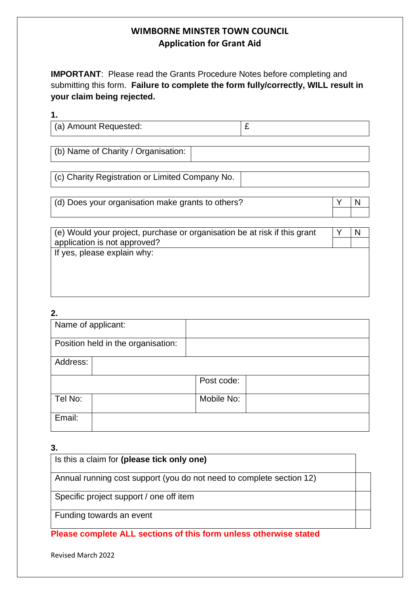**IMPORTANT**: Please read the Grants Procedure Notes before completing and submitting this form. **Failure to complete the form fully/correctly, WILL result in your claim being rejected.**

## **1.**

| (a) Amount Requested: | - |
|-----------------------|---|
|-----------------------|---|

(b) Name of Charity / Organisation:

(c) Charity Registration or Limited Company No.

(d) Does your organisation make grants to others?

| (e) Would your project, purchase or organisation be at risk if this grant |  |
|---------------------------------------------------------------------------|--|
| application is not approved?                                              |  |
| If yes, please explain why:                                               |  |

### **2.**

| Name of applicant: |                                    |            |  |
|--------------------|------------------------------------|------------|--|
|                    | Position held in the organisation: |            |  |
| Address:           |                                    |            |  |
|                    |                                    | Post code: |  |
| Tel No:            |                                    | Mobile No: |  |
| Email:             |                                    |            |  |

# **3.**

| Is this a claim for (please tick only one)                           |  |
|----------------------------------------------------------------------|--|
| Annual running cost support (you do not need to complete section 12) |  |
| Specific project support / one off item                              |  |
| Funding towards an event                                             |  |

**Please complete ALL sections of this form unless otherwise stated**

Revised March 2022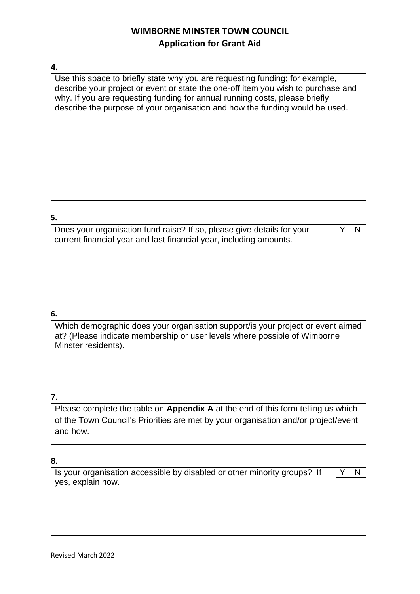#### **4.**

Use this space to briefly state why you are requesting funding; for example, describe your project or event or state the one-off item you wish to purchase and why. If you are requesting funding for annual running costs, please briefly describe the purpose of your organisation and how the funding would be used.

#### **5.**

| Does your organisation fund raise? If so, please give details for your<br>current financial year and last financial year, including amounts. |  |
|----------------------------------------------------------------------------------------------------------------------------------------------|--|
|                                                                                                                                              |  |
|                                                                                                                                              |  |
|                                                                                                                                              |  |
|                                                                                                                                              |  |

### **6.**

Which demographic does your organisation support/is your project or event aimed at? (Please indicate membership or user levels where possible of Wimborne Minster residents).

### **7.**

Please complete the table on **Appendix A** at the end of this form telling us which of the Town Council's Priorities are met by your organisation and/or project/event and how.

### **8.**

| Is your organisation accessible by disabled or other minority groups? If |  |  |
|--------------------------------------------------------------------------|--|--|
| yes, explain how.                                                        |  |  |
|                                                                          |  |  |
|                                                                          |  |  |
|                                                                          |  |  |
|                                                                          |  |  |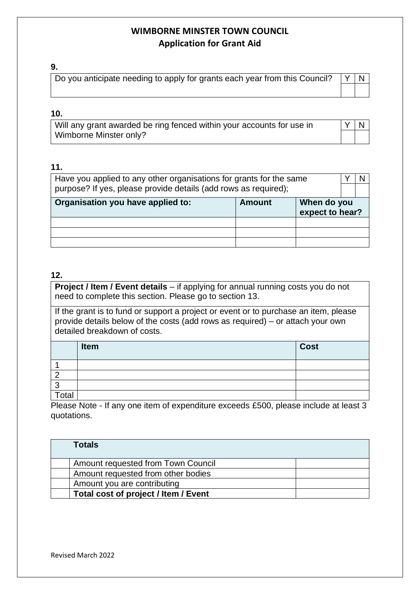#### **9.**

| Do you anticipate needing to apply for grants each year from this Council? $\ Y\ N\ $ |  |  |
|---------------------------------------------------------------------------------------|--|--|
|                                                                                       |  |  |

### **10.**

| Will any grant awarded be ring fenced within your accounts for use in | YN |  |
|-----------------------------------------------------------------------|----|--|
| Wimborne Minster only?                                                |    |  |

## **11.**

| Have you applied to any other organisations for grants for the same           |  |  |  |
|-------------------------------------------------------------------------------|--|--|--|
| purpose? If yes, please provide details (add rows as required);               |  |  |  |
| Organisation you have applied to:<br>When do you<br>Amount<br>expect to hear? |  |  |  |
|                                                                               |  |  |  |
|                                                                               |  |  |  |
|                                                                               |  |  |  |

### **12.**

**Project / Item / Event details** – if applying for annual running costs you do not need to complete this section. Please go to section 13.

If the grant is to fund or support a project or event or to purchase an item, please provide details below of the costs (add rows as required) – or attach your own detailed breakdown of costs.

|       | <b>Item</b> | <b>Cost</b> |
|-------|-------------|-------------|
|       |             |             |
|       |             |             |
|       |             |             |
| Total |             |             |

Please Note - If any one item of expenditure exceeds £500, please include at least 3 quotations.

| Totals                               |  |
|--------------------------------------|--|
| Amount requested from Town Council   |  |
| Amount requested from other bodies   |  |
| Amount you are contributing          |  |
| Total cost of project / Item / Event |  |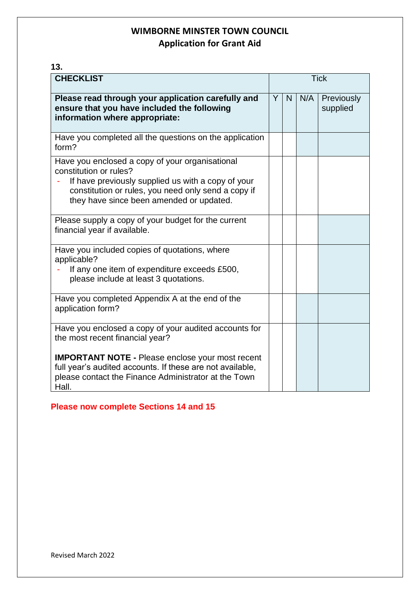**13.**

| <b>CHECKLIST</b>                                                                                                                                                                                                                   | <b>Tick</b> |    |     |                        |
|------------------------------------------------------------------------------------------------------------------------------------------------------------------------------------------------------------------------------------|-------------|----|-----|------------------------|
| Please read through your application carefully and<br>ensure that you have included the following<br>information where appropriate:                                                                                                | Y           | N. | N/A | Previously<br>supplied |
| Have you completed all the questions on the application<br>form?                                                                                                                                                                   |             |    |     |                        |
| Have you enclosed a copy of your organisational<br>constitution or rules?<br>If have previously supplied us with a copy of your<br>constitution or rules, you need only send a copy if<br>they have since been amended or updated. |             |    |     |                        |
| Please supply a copy of your budget for the current<br>financial year if available.                                                                                                                                                |             |    |     |                        |
| Have you included copies of quotations, where<br>applicable?<br>If any one item of expenditure exceeds £500,<br>please include at least 3 quotations.                                                                              |             |    |     |                        |
| Have you completed Appendix A at the end of the<br>application form?                                                                                                                                                               |             |    |     |                        |
| Have you enclosed a copy of your audited accounts for<br>the most recent financial year?                                                                                                                                           |             |    |     |                        |
| <b>IMPORTANT NOTE - Please enclose your most recent</b><br>full year's audited accounts. If these are not available,<br>please contact the Finance Administrator at the Town<br>Hall.                                              |             |    |     |                        |

**Please now complete Sections 14 and 15**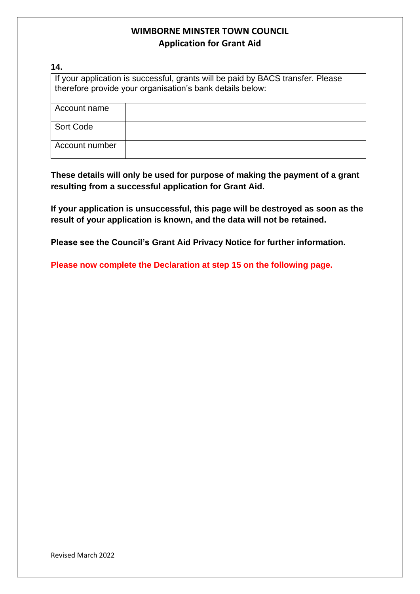#### **14.**

If your application is successful, grants will be paid by BACS transfer. Please therefore provide your organisation's bank details below:

| Account name   |  |
|----------------|--|
| Sort Code      |  |
| Account number |  |

**These details will only be used for purpose of making the payment of a grant resulting from a successful application for Grant Aid.**

**If your application is unsuccessful, this page will be destroyed as soon as the result of your application is known, and the data will not be retained.**

**Please see the Council's Grant Aid Privacy Notice for further information.**

**Please now complete the Declaration at step 15 on the following page.**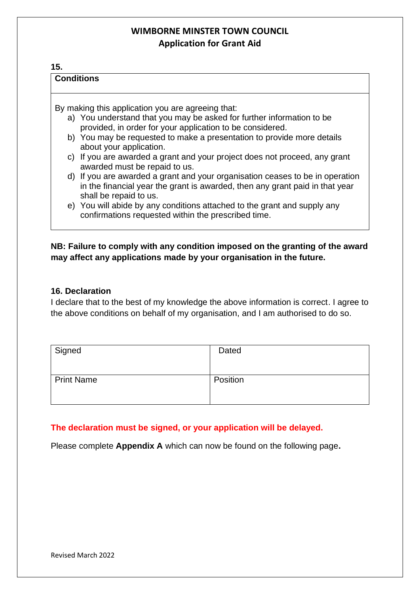## **15.**

#### **Conditions**

By making this application you are agreeing that:

- a) You understand that you may be asked for further information to be provided, in order for your application to be considered.
- b) You may be requested to make a presentation to provide more details about your application.
- c) If you are awarded a grant and your project does not proceed, any grant awarded must be repaid to us.
- d) If you are awarded a grant and your organisation ceases to be in operation in the financial year the grant is awarded, then any grant paid in that year shall be repaid to us.
- e) You will abide by any conditions attached to the grant and supply any confirmations requested within the prescribed time.

### **NB: Failure to comply with any condition imposed on the granting of the award may affect any applications made by your organisation in the future.**

#### **16. Declaration**

I declare that to the best of my knowledge the above information is correct. I agree to the above conditions on behalf of my organisation, and I am authorised to do so.

| Signed            | Dated    |
|-------------------|----------|
| <b>Print Name</b> | Position |

### **The declaration must be signed, or your application will be delayed.**

Please complete **Appendix A** which can now be found on the following page**.**